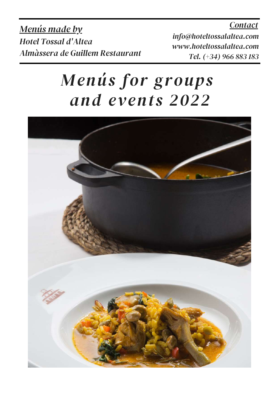*Contact*

*Menús made by Hotel Tossal d'Altea Almàssera de Guillem Restaurant*

*info@hoteltossalaltea.com www.hoteltossalaltea.com Tel. (+34) 966 883 183*

# *Menús for groups and events 2022*

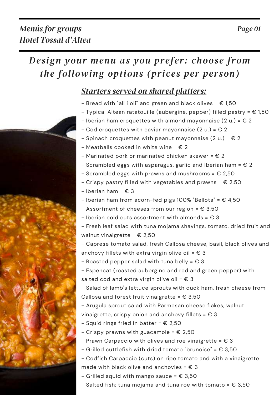## *Starters served on shared platters:*

- Bread with "all i oli" and green and black olives =  $\epsilon$  1,50
- Typical Altean ratatouille (aubergine, pepper) filled pastry =  $\epsilon$  1,50
- Iberian ham croquettes with almond mayonnaise  $(2 u) = \epsilon 2$
- Cod croquettes with caviar mayonnaise  $(2 u.) = \epsilon 2$
- Spinach croquettes with peanut mayonnaise  $(2 u) = \epsilon 2$
- Meatballs cooked in white wine =  $\epsilon$  2
- Marinated pork or marinated chicken skewer =  $\epsilon$  2
- Scrambled eggs with asparagus, garlic and Iberian ham =  $\epsilon$  2
- Scrambled eggs with prawns and mushrooms =  $E$  2,50
- Crispy pastry filled with vegetables and prawns =  $\epsilon$  2,50
- $-$  Iberian ham =  $\epsilon$  3
- Iberian ham from acorn-fed pigs 100% "Bellota" =  $\epsilon$  4,50
- Assortment of cheeses from our region =  $\epsilon$  3,50
- Iberian cold cuts assortment with almonds =  $\epsilon$  3
- Fresh leaf salad with tuna mojama shavings, tomato, dried fruit and walnut vinaigrette =  $\epsilon$  2,50

- Caprese tomato salad, fresh Callosa cheese, basil, black olives and anchovy fillets with extra virgin olive oil =  $\epsilon$  3

- Roasted pepper salad with tuna belly =  $\epsilon$  3
- Espencat (roasted aubergine and red and green pepper) with salted cod and extra virgin olive oil =  $E$  3

- Salad of lamb's lettuce sprouts with duck ham, fresh cheese from Callosa and forest fruit vinaigrette =  $\epsilon$  3,50

- Arugula sprout salad with Parmesan cheese flakes, walnut vinaigrette, crispy onion and anchovy fillets =  $\epsilon$  3

- Squid rings fried in batter =  $\epsilon$  2,50
- Crispy prawns with guacamole =  $\epsilon$  2,50
- Prawn Carpaccio with olives and roe vinaigrette =  $\epsilon$  3
- Grilled cuttlefish with dried tomato "brunoise" =  $\epsilon$  3,50
- Codfish Carpaccio (cuts) on ripe tomato and with a vinaigrette made with black olive and anchovies =  $\epsilon$  3
- Grilled squid with mango sauce =  $\epsilon$  3,50
- Salted fish: tuna mojama and tuna roe with tomato =  $\epsilon$  3,50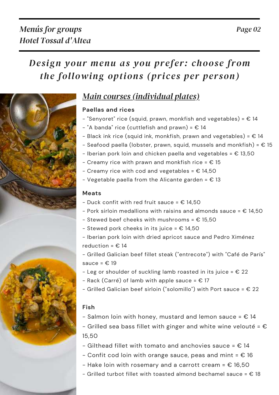

## *Main courses (individual plates)*

#### **Paellas and rices**

- $-$  "Senyoret" rice (squid, prawn, monkfish and vegetables) =  $\epsilon$  14
- $-$  "A banda" rice (cuttlefish and prawn) =  $\epsilon$  14
- Black ink rice (squid ink, monkfish, prawn and vegetables) =  $\epsilon$  14
- Seafood paella (lobster, prawn, squid, mussels and monkfish) =  $\epsilon$  15
- Iberian pork loin and chicken paella and vegetables =  $\epsilon$  13,50
- Creamy rice with prawn and monkfish rice =  $\epsilon$  15
- Creamy rice with cod and vegetables =  $\epsilon$  14,50
- Vegetable paella from the Alicante garden =  $\epsilon$  13

#### **Meats**

- Duck confit with red fruit sauce =  $E$  14,50
- Pork sirloin medallions with raisins and almonds sauce =  $\epsilon$  14.50
- Stewed beef cheeks with mushrooms =  $\epsilon$  15,50
- Stewed pork cheeks in its juice =  $E$  14,50
- Iberian pork loin with dried apricot sauce and Pedro Ximénez reduction =  $€ 14$
- Grilled Galician beef fillet steak ("entrecote") with "Café de París" sauce =  $\epsilon$  19
- Leg or shoulder of suckling lamb roasted in its juice =  $\epsilon$  22
- $-$  Rack (Carré) of lamb with apple sauce =  $\epsilon$  17
- Grilled Galician beef sirloin ("solomillo") with Port sauce =  $\epsilon$  22

#### **Fish**

- Salmon loin with honey, mustard and lemon sauce =  $\epsilon$  14
- Grilled sea bass fillet with ginger and white wine velouté =  $\epsilon$ 15,50
- Gilthead fillet with tomato and anchovies sauce =  $\epsilon$  14
- Confit cod loin with orange sauce, peas and mint =  $\epsilon$  16
- Hake loin with rosemary and a carrott cream =  $\epsilon$  16,50
- Grilled turbot fillet with toasted almond bechamel sauce =  $\epsilon$  18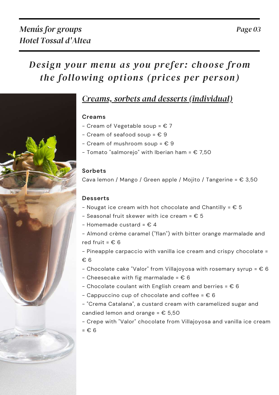### *Creams, sorbets and desserts (individual)*

#### **Creams**

- Cream of Vegetable soup =  $\epsilon$  7
- Cream of seafood soup =  $E9$
- Cream of mushroom soup =  $E9$
- Tomato "salmorejo" with Iberian ham =  $$7,50$

#### **Sorbets**

Cava lemon / Mango / Green apple / Mojito / Tangerine =  $\epsilon$  3,50

#### **Desserts**

- Nougat ice cream with hot chocolate and Chantilly =  $\epsilon$  5
- Seasonal fruit skewer with ice cream =  $E$  5
- Homemade custard =  $E$  4

- Almond crème caramel ("flan") with bitter orange marmalade and red fruit =  $\epsilon$  6

- Pineapple carpaccio with vanilla ice cream and crispy chocolate = € 6

- Chocolate cake "Valor" from Villajoyosa with rosemary syrup =  $\epsilon$  6

- Cheesecake with fig marmalade =  $\epsilon$  6
- Chocolate coulant with English cream and berries =  $\epsilon$  6
- Cappuccino cup of chocolate and coffee =  $\epsilon$  6

- "Crema Catalana", a custard cream with caramelized sugar and candied lemon and orange =  $\epsilon$  5,50

- Crepe with "Valor" chocolate from Villajoyosa and vanilla ice cream = € 6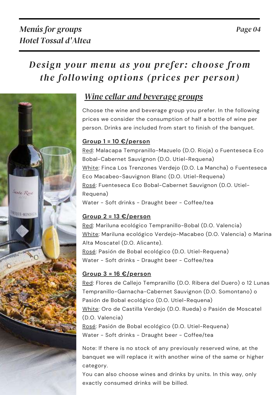

## *Wine cellar and beverage groups*

Choose the wine and beverage group you prefer. In the following prices we consider the consumption of half a bottle of wine per person. Drinks are included from start to finish of the banquet.

#### **Group 1 = 10 €/person**

Red: Malacapa Tempranillo-Mazuelo (D.O. Rioja) o Fuenteseca Eco Bobal-Cabernet Sauvignon (D.O. Utiel-Requena) White: Finca Los Trenzones Verdejo (D.O. La Mancha) o Fuenteseca Eco Macabeo-Sauvignon Blanc (D.O. Utiel-Requena) Rosé: Fuenteseca Eco Bobal-Cabernet Sauvignon (D.O. Utiel-Requena) Water - Soft drinks - Draught beer - Coffee/tea

#### **Group 2 = 13 €/person**

Red: Mariluna ecológico Tempranillo-Bobal (D.O. Valencia) White: Mariluna ecológico Verdejo-Macabeo (D.O. Valencia) o Marina Alta Moscatel (D.O. Alicante). Rosé: Pasión de Bobal ecológico (D.O. Utiel-Requena) Water - Soft drinks - Draught beer - Coffee/tea

#### **Group 3 = 16 €/person**

Red: Flores de Callejo Tempranillo (D.O. Ribera del Duero) o 12 Lunas Tempranillo-Garnacha-Cabernet Sauvignon (D.O. Somontano) o Pasión de Bobal ecológico (D.O. Utiel-Requena) White: Oro de Castilla Verdejo (D.O. Rueda) o Pasión de Moscatel (D.O. Valencia) Rosé: Pasión de Bobal ecológico (D.O. Utiel-Requena) Water - Soft drinks - Draught beer - Coffee/tea

Note: If there is no stock of any previously reserved wine, at the banquet we will replace it with another wine of the same or higher category.

You can also choose wines and drinks by units. In this way, only exactly consumed drinks will be billed.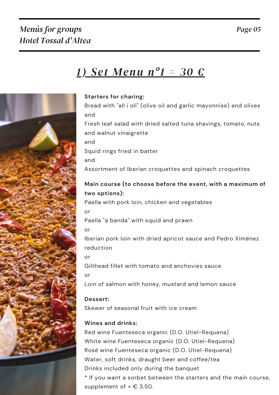## *Menús for groups Hotel Tossal d'Altea*

# *1) Set Menu nº1 = 30 €*



#### **Starters for charing:**

Bread with "all i oli" (olive oil and garlic mayonnise) and olives and

Fresh leaf salad with dried salted tuna shavings, tomato, nuts and walnut vinaigrette

and

Squid rings fried in batter

and

Assortment of Iberian croquettes and spinach croquettes

#### **Main course (to choose before the event, with a maximum of two options):**

Paella with pork loin, chicken and vegetables

or

Paella "a banda" with squid and prawn

or

Iberian pork loin with dried apricot sauce and Pedro Ximénez reduction

or

Gilthead fillet with tomato and anchovies sauce

or

Loin of salmon with honey, mustard and lemon sauce

**Dessert:**

Skewer of seasonal fruit with ice cream

#### **Wines and drinks:**

Red wine Fuenteseca organic (D.O. Utiel-Requena) White wine Fuenteseca organic (D.O. Utiel-Requena) Rosé wine Fuenteseca organic (D.O. Utiel-Requena) Water, soft drinks, draught beer and coffee/tea Drinks included only during the banquet \* If you want a sorbet between the starters and the main course, supplement of  $+ \in 3,50$ .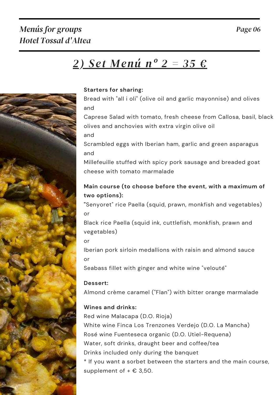## *Menús for groups Hotel Tossal d'Altea*

# *2) Set Menú nº 2 = 35 €*



#### **Starters for sharing:**

Bread with "all i oli" (olive oil and garlic mayonnise) and olives and

Caprese Salad with tomato, fresh cheese from Callosa, basil, black olives and anchovies with extra virgin olive oil

and

Scrambled eggs with Iberian ham, garlic and green asparagus and

Millefeuille stuffed with spicy pork sausage and breaded goat cheese with tomato marmalade

#### **Main course (to choose before the event, with a maximum of two options):**

**"**Senyoret" rice Paella (squid, prawn, monkfish and vegetables) or

Black rice Paella (squid ink, cuttlefish, monkfish, prawn and vegetables)

or

Iberian pork sirloin medallions with raisin and almond sauce or

Seabass fillet with ginger and white wine "velouté"

#### **Dessert:**

Almond crème caramel ("Flan") with bitter orange marmalade

#### **Wines and drinks:**

Red wine Malacapa (D.O. Rioja) White wine Finca Los Trenzones Verdejo (D.O. La Mancha) Rosé wine Fuenteseca organic (D.O. Utiel-Requena) Water, soft drinks, draught beer and coffee/tea Drinks included only during the banquet \* If you want a sorbet between the starters and the main course, supplement of  $+ \in 3,50$ .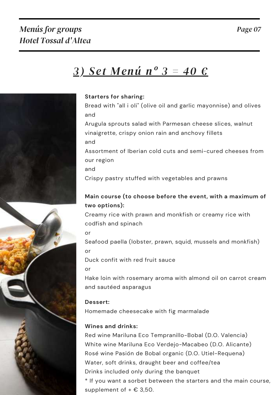# *3) Set Menú nº 3 = 40 €*



#### **Starters for sharing:**

Bread with "all i oli" (olive oil and garlic mayonnise) and olives and

Arugula sprouts salad with Parmesan cheese slices, walnut vinaigrette, crispy onion rain and anchovy fillets and

Assortment of Iberian cold cuts and semi-cured cheeses from our region

and

Crispy pastry stuffed with vegetables and prawns

#### **Main course (to choose before the event, with a maximum of two options):**

Creamy rice with prawn and monkfish or creamy rice with codfish and spinach

or

Seafood paella (lobster, prawn, squid, mussels and monkfish) or

Duck confit with red fruit sauce

or

Hake loin with rosemary aroma with almond oil on carrot cream and sautéed asparagus

#### **Dessert:**

Homemade cheesecake with fig marmalade

#### **Wines and drinks:**

Red wine Mariluna Eco Tempranillo-Bobal (D.O. Valencia) White wine Mariluna Eco Verdejo-Macabeo (D.O. Alicante) Rosé wine Pasión de Bobal organic (D.O. Utiel-Requena) Water, soft drinks, draught beer and coffee/tea Drinks included only during the banquet

\* If you want a sorbet between the starters and the main course, supplement of  $+ \in 3,50$ .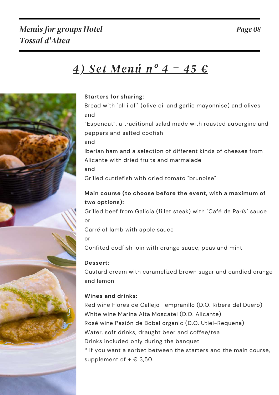## *Menús for groups Hotel Tossal d'Altea*

# *4) Set Menú nº 4 = 45 €*



#### **Starters for sharing:**

Bread with "all i oli" (olive oil and garlic mayonnise) and olives and

"Espencat", a traditional salad made with roasted aubergine and peppers and salted codfish

and

Iberian ham and a selection of different kinds of cheeses from Alicante with dried fruits and marmalade and

Grilled cuttlefish with dried tomato "brunoise"

#### **Main course (to choose before the event, with a maximum of two options):**

Grilled beef from Galicia (fillet steak) with "Café de París" sauce or

Carré of lamb with apple sauce

or

Confited codfish loin with orange sauce, peas and mint

#### **Dessert:**

Custard cream with caramelized brown sugar and candied orange and lemon

#### **Wines and drinks:**

Red wine Flores de Callejo Tempranillo (D.O. Ribera del Duero) White wine Marina Alta Moscatel (D.O. Alicante) Rosé wine Pasión de Bobal organic (D.O. Utiel-Requena) Water, soft drinks, draught beer and coffee/tea Drinks included only during the banquet \* If you want a sorbet between the starters and the main course, supplement of  $+ \in 3,50$ .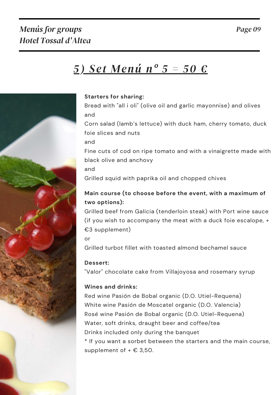## *Menús for groups Hotel Tossal d'Altea*

# *5) Set Menú nº 5 = 50 €*



#### **Starters for sharing:**

Bread with "all i oli" (olive oil and garlic mayonnise) and olives and

Corn salad (lamb's lettuce) with duck ham, cherry tomato, duck foie slices and nuts

and

Fine cuts of cod on ripe tomato and with a vinaigrette made with black olive and anchovy

and

Grilled squid with paprika oil and chopped chives

#### **Main course (to choose before the event, with a maximum of two options):**

Grilled beef from Galicia (tenderloin steak) with Port wine sauce (if you wish to accompany the meat with a duck foie escalope, + €3 supplement)

or

Grilled turbot fillet with toasted almond bechamel sauce

#### **Dessert:**

"Valor" chocolate cake from Villajoyosa and rosemary syrup

#### **Wines and drinks:**

Red wine Pasión de Bobal organic (D.O. Utiel-Requena) White wine Pasión de Moscatel organic (D.O. Valencia) Rosé wine Pasión de Bobal organic (D.O. Utiel-Requena) Water, soft drinks, draught beer and coffee/tea Drinks included only during the banquet \* If you want a sorbet between the starters and the main course, supplement of  $+ \in 3,50$ .